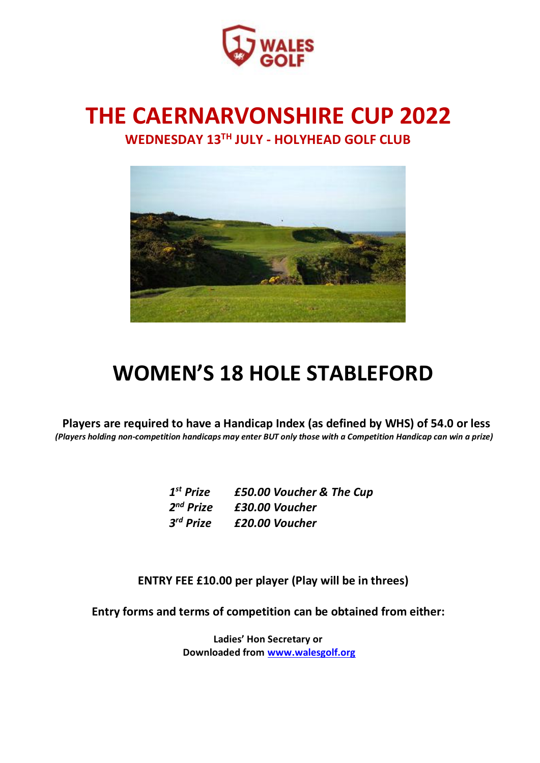

# **THE CAERNARVONSHIRE CUP 2022 WEDNESDAY 13 TH JULY - HOLYHEAD GOLF CLUB**



# **WOMEN'S 18 HOLE STABLEFORD**

**Players are required to have a Handicap Index (as defined by WHS) of 54.0 or less** *(Players holding non-competition handicaps may enter BUT only those with a Competition Handicap can win a prize)*

| $1st$ Prize           | £50.00 Voucher & The Cup |
|-----------------------|--------------------------|
| 2 <sup>nd</sup> Prize | £30.00 Voucher           |
| 3 <sup>rd</sup> Prize | £20.00 Voucher           |

**ENTRY FEE £10.00 per player (Play will be in threes)**

**Entry forms and terms of competition can be obtained from either:**

**Ladies' Hon Secretary or Downloaded from [www.walesgolf.org](http://www.walesgolf.org/)**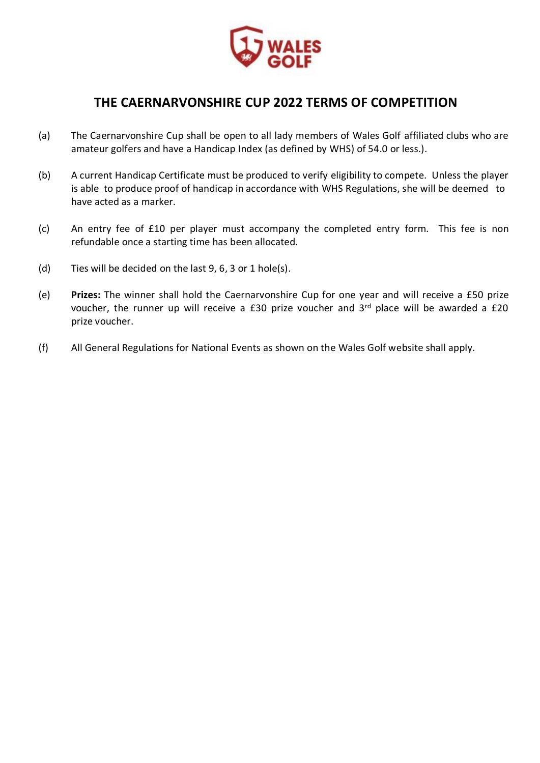

### **THE CAERNARVONSHIRE CUP 2022 TERMS OF COMPETITION**

- (a) The Caernarvonshire Cup shall be open to all lady members of Wales Golf affiliated clubs who are amateur golfers and have a Handicap Index (as defined by WHS) of 54.0 or less.).
- (b) A current Handicap Certificate must be produced to verify eligibility to compete. Unless the player is able to produce proof of handicap in accordance with WHS Regulations, she will be deemed to have acted as a marker.
- (c) An entry fee of £10 per player must accompany the completed entry form. This fee is non refundable once a starting time has been allocated.
- (d) Ties will be decided on the last 9, 6, 3 or 1 hole(s).
- (e) **Prizes:** The winner shall hold the Caernarvonshire Cup for one year and will receive a £50 prize voucher, the runner up will receive a £30 prize voucher and 3rd place will be awarded a £20 prize voucher.
- (f) All General Regulations for National Events as shown on the Wales Golf website shall apply.